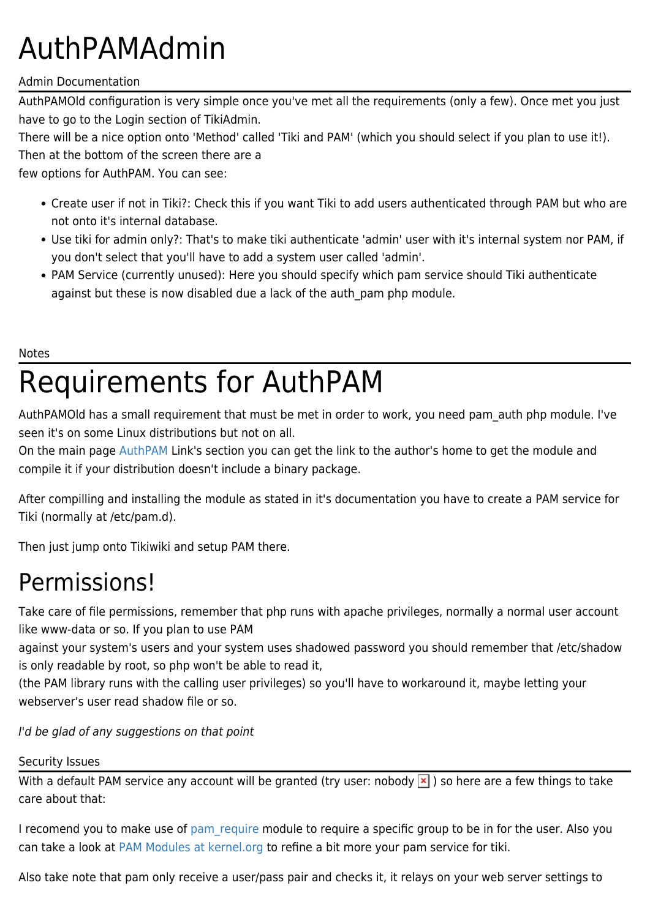# AuthPAMAdmin

### Admin Documentation

AuthPAMOld configuration is very simple once you've met all the requirements (only a few). Once met you just have to go to the Login section of TikiAdmin.

There will be a nice option onto 'Method' called 'Tiki and PAM' (which you should select if you plan to use it!).

Then at the bottom of the screen there are a

few options for AuthPAM. You can see:

- Create user if not in Tiki?: Check this if you want Tiki to add users authenticated through PAM but who are not onto it's internal database.
- Use tiki for admin only?: That's to make tiki authenticate 'admin' user with it's internal system nor PAM, if you don't select that you'll have to add a system user called 'admin'.
- PAM Service (currently unused): Here you should specify which pam service should Tiki authenticate against but these is now disabled due a lack of the auth pam php module.

#### Notes

# Requirements for AuthPAM

AuthPAMOld has a small requirement that must be met in order to work, you need pam\_auth php module. I've seen it's on some Linux distributions but not on all.

On the main page [AuthPAM](https://tiki.org/AuthPAM) Link's section you can get the link to the author's home to get the module and compile it if your distribution doesn't include a binary package.

After compilling and installing the module as stated in it's documentation you have to create a PAM service for Tiki (normally at /etc/pam.d).

Then just jump onto Tikiwiki and setup PAM there.

### Permissions!

Take care of file permissions, remember that php runs with apache privileges, normally a normal user account like www-data or so. If you plan to use PAM

against your system's users and your system uses shadowed password you should remember that /etc/shadow is only readable by root, so php won't be able to read it,

(the PAM library runs with the calling user privileges) so you'll have to workaround it, maybe letting your webserver's user read shadow file or so.

I'd be glad of any suggestions on that point

#### Security Issues

With a default PAM service any account will be granted (try user: nobody  $\vert \cdot \vert$ ) so here are a few things to take care about that:

I recomend you to make use of [pam\\_require](http://www.splitbrain.org/Programming/C/pam_require/index.php) module to require a specific group to be in for the user. Also you can take a look at [PAM Modules at kernel.org](http://www.kernel.org/pub/linux/libs/pam/modules.html) to refine a bit more your pam service for tiki.

Also take note that pam only receive a user/pass pair and checks it, it relays on your web server settings to